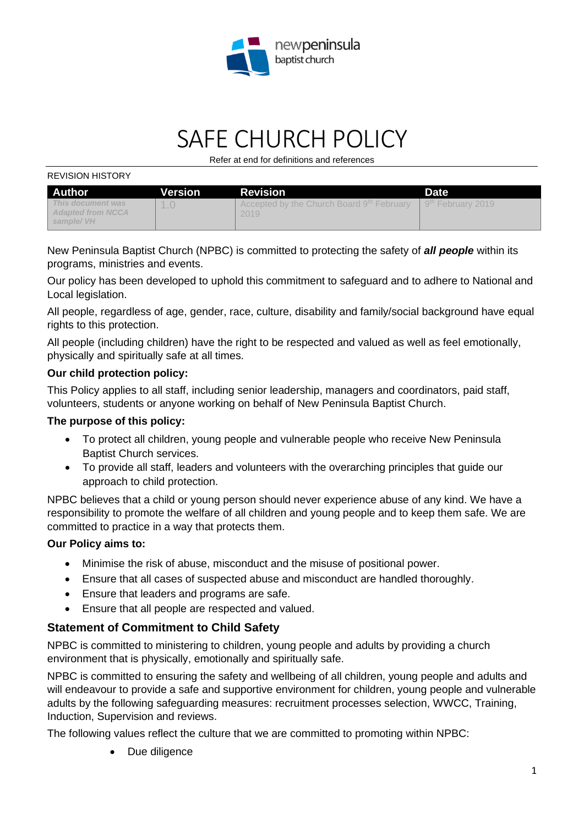

# SAFE CHURCH POLICY

Refer at end for definitions and references

#### REVISION HISTORY

| Author                                                     | Version | <b>Revision</b>                                   | <b>Date</b>                                 |
|------------------------------------------------------------|---------|---------------------------------------------------|---------------------------------------------|
| This document was<br><b>Adapted from NCCA</b><br>sample/VH | 1.0     | Accepted by the Church Board 9th February<br>2019 | $\frac{1}{2}$ 9 <sup>th</sup> February 2019 |

New Peninsula Baptist Church (NPBC) is committed to protecting the safety of *all people* within its programs, ministries and events.

Our policy has been developed to uphold this commitment to safeguard and to adhere to National and Local legislation.

All people, regardless of age, gender, race, culture, disability and family/social background have equal rights to this protection.

All people (including children) have the right to be respected and valued as well as feel emotionally, physically and spiritually safe at all times.

## **Our child protection policy:**

This Policy applies to all staff, including senior leadership, managers and coordinators, paid staff, volunteers, students or anyone working on behalf of New Peninsula Baptist Church.

#### **The purpose of this policy:**

- To protect all children, young people and vulnerable people who receive New Peninsula Baptist Church services.
- To provide all staff, leaders and volunteers with the overarching principles that guide our approach to child protection.

NPBC believes that a child or young person should never experience abuse of any kind. We have a responsibility to promote the welfare of all children and young people and to keep them safe. We are committed to practice in a way that protects them.

# **Our Policy aims to:**

- Minimise the risk of abuse, misconduct and the misuse of positional power.
- Ensure that all cases of suspected abuse and misconduct are handled thoroughly.
- Ensure that leaders and programs are safe.
- Ensure that all people are respected and valued.

# **Statement of Commitment to Child Safety**

NPBC is committed to ministering to children, young people and adults by providing a church environment that is physically, emotionally and spiritually safe.

NPBC is committed to ensuring the safety and wellbeing of all children, young people and adults and will endeavour to provide a safe and supportive environment for children, young people and vulnerable adults by the following safeguarding measures: recruitment processes selection, WWCC, Training, Induction, Supervision and reviews.

The following values reflect the culture that we are committed to promoting within NPBC:

• Due diligence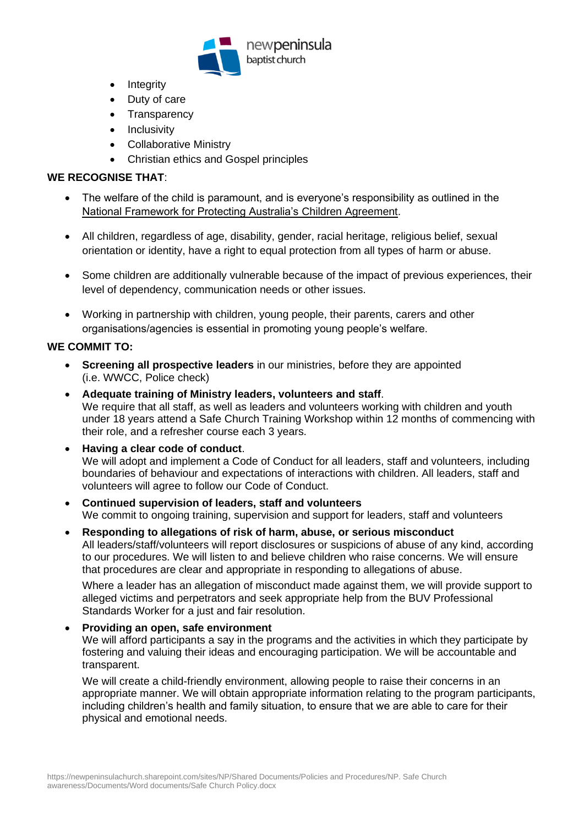

- **Integrity**
- Duty of care
- **Transparency**
- **Inclusivity**
- Collaborative Ministry
- Christian ethics and Gospel principles

# **WE RECOGNISE THAT**:

- The welfare of the child is paramount, and is everyone's responsibility as outlined in the National Framework for Protecting Australia's Children Agreement.
- All children, regardless of age, disability, gender, racial heritage, religious belief, sexual orientation or identity, have a right to equal protection from all types of harm or abuse.
- Some children are additionally vulnerable because of the impact of previous experiences, their level of dependency, communication needs or other issues.
- Working in partnership with children, young people, their parents, carers and other organisations/agencies is essential in promoting young people's welfare.

# **WE COMMIT TO:**

- **Screening all prospective leaders** in our ministries, before they are appointed (i.e. WWCC, Police check)
- **Adequate training of Ministry leaders, volunteers and staff**. We require that all staff, as well as leaders and volunteers working with children and youth under 18 years attend a Safe Church Training Workshop within 12 months of commencing with their role, and a refresher course each 3 years.
- **Having a clear code of conduct**. We will adopt and implement a Code of Conduct for all leaders, staff and volunteers, including boundaries of behaviour and expectations of interactions with children. All leaders, staff and volunteers will agree to follow our Code of Conduct.
- **Continued supervision of leaders, staff and volunteers** We commit to ongoing training, supervision and support for leaders, staff and volunteers
- **Responding to allegations of risk of harm, abuse, or serious misconduct** All leaders/staff/volunteers will report disclosures or suspicions of abuse of any kind, according to our procedures. We will listen to and believe children who raise concerns. We will ensure that procedures are clear and appropriate in responding to allegations of abuse.

Where a leader has an allegation of misconduct made against them, we will provide support to alleged victims and perpetrators and seek appropriate help from the BUV Professional Standards Worker for a just and fair resolution.

## • **Providing an open, safe environment**

We will afford participants a say in the programs and the activities in which they participate by fostering and valuing their ideas and encouraging participation. We will be accountable and transparent.

We will create a child-friendly environment, allowing people to raise their concerns in an appropriate manner. We will obtain appropriate information relating to the program participants, including children's health and family situation, to ensure that we are able to care for their physical and emotional needs.